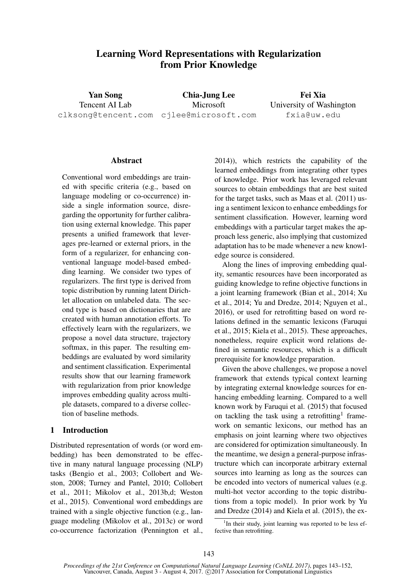# Learning Word Representations with Regularization from Prior Knowledge

Yan Song Tencent AI Lab

clksong@tencent.com cjlee@microsoft.com Chia-Jung Lee Microsoft

Fei Xia University of Washington fxia@uw.edu

# **Abstract**

Conventional word embeddings are trained with specific criteria (e.g., based on language modeling or co-occurrence) inside a single information source, disregarding the opportunity for further calibration using external knowledge. This paper presents a unified framework that leverages pre-learned or external priors, in the form of a regularizer, for enhancing conventional language model-based embedding learning. We consider two types of regularizers. The first type is derived from topic distribution by running latent Dirichlet allocation on unlabeled data. The second type is based on dictionaries that are created with human annotation efforts. To effectively learn with the regularizers, we propose a novel data structure, trajectory softmax, in this paper. The resulting embeddings are evaluated by word similarity and sentiment classification. Experimental results show that our learning framework with regularization from prior knowledge improves embedding quality across multiple datasets, compared to a diverse collection of baseline methods.

## 1 Introduction

Distributed representation of words (or word embedding) has been demonstrated to be effective in many natural language processing (NLP) tasks (Bengio et al., 2003; Collobert and Weston, 2008; Turney and Pantel, 2010; Collobert et al., 2011; Mikolov et al., 2013b,d; Weston et al., 2015). Conventional word embeddings are trained with a single objective function (e.g., language modeling (Mikolov et al., 2013c) or word co-occurrence factorization (Pennington et al.,

2014)), which restricts the capability of the learned embeddings from integrating other types of knowledge. Prior work has leveraged relevant sources to obtain embeddings that are best suited for the target tasks, such as Maas et al. (2011) using a sentiment lexicon to enhance embeddings for sentiment classification. However, learning word embeddings with a particular target makes the approach less generic, also implying that customized adaptation has to be made whenever a new knowledge source is considered.

Along the lines of improving embedding quality, semantic resources have been incorporated as guiding knowledge to refine objective functions in a joint learning framework (Bian et al., 2014; Xu et al., 2014; Yu and Dredze, 2014; Nguyen et al., 2016), or used for retrofitting based on word relations defined in the semantic lexicons (Faruqui et al., 2015; Kiela et al., 2015). These approaches, nonetheless, require explicit word relations defined in semantic resources, which is a difficult prerequisite for knowledge preparation.

Given the above challenges, we propose a novel framework that extends typical context learning by integrating external knowledge sources for enhancing embedding learning. Compared to a well known work by Faruqui et al. (2015) that focused on tackling the task using a retrofitting<sup>1</sup> framework on semantic lexicons, our method has an emphasis on joint learning where two objectives are considered for optimization simultaneously. In the meantime, we design a general-purpose infrastructure which can incorporate arbitrary external sources into learning as long as the sources can be encoded into vectors of numerical values (e.g. multi-hot vector according to the topic distributions from a topic model). In prior work by Yu and Dredze (2014) and Kiela et al. (2015), the ex-

<sup>&</sup>lt;sup>1</sup>In their study, joint learning was reported to be less effective than retrofitting.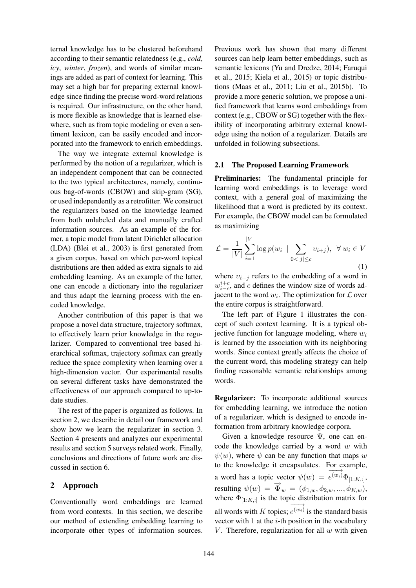ternal knowledge has to be clustered beforehand according to their semantic relatedness (e.g., *cold*, *icy*, *winter*, *frozen*), and words of similar meanings are added as part of context for learning. This may set a high bar for preparing external knowledge since finding the precise word-word relations is required. Our infrastructure, on the other hand, is more flexible as knowledge that is learned elsewhere, such as from topic modeling or even a sentiment lexicon, can be easily encoded and incorporated into the framework to enrich embeddings.

The way we integrate external knowledge is performed by the notion of a regularizer, which is an independent component that can be connected to the two typical architectures, namely, continuous bag-of-words (CBOW) and skip-gram (SG), or used independently as a retrofitter. We construct the regularizers based on the knowledge learned from both unlabeled data and manually crafted information sources. As an example of the former, a topic model from latent Dirichlet allocation (LDA) (Blei et al., 2003) is first generated from a given corpus, based on which per-word topical distributions are then added as extra signals to aid embedding learning. As an example of the latter, one can encode a dictionary into the regularizer and thus adapt the learning process with the encoded knowledge.

Another contribution of this paper is that we propose a novel data structure, trajectory softmax, to effectively learn prior knowledge in the regularizer. Compared to conventional tree based hierarchical softmax, trajectory softmax can greatly reduce the space complexity when learning over a high-dimension vector. Our experimental results on several different tasks have demonstrated the effectiveness of our approach compared to up-todate studies.

The rest of the paper is organized as follows. In section 2, we describe in detail our framework and show how we learn the regularizer in section 3. Section 4 presents and analyzes our experimental results and section 5 surveys related work. Finally, conclusions and directions of future work are discussed in section 6.

### 2 Approach

Conventionally word embeddings are learned from word contexts. In this section, we describe our method of extending embedding learning to incorporate other types of information sources.

Previous work has shown that many different sources can help learn better embeddings, such as semantic lexicons (Yu and Dredze, 2014; Faruqui et al., 2015; Kiela et al., 2015) or topic distributions (Maas et al., 2011; Liu et al., 2015b). To provide a more generic solution, we propose a unified framework that learns word embeddings from context (e.g., CBOW or SG) together with the flexibility of incorporating arbitrary external knowledge using the notion of a regularizer. Details are unfolded in following subsections.

#### 2.1 The Proposed Learning Framework

Preliminaries: The fundamental principle for learning word embeddings is to leverage word context, with a general goal of maximizing the likelihood that a word is predicted by its context. For example, the CBOW model can be formulated as maximizing

$$
\mathcal{L} = \frac{1}{|V|} \sum_{i=1}^{|V|} \log p(w_i \mid \sum_{0 < |j| \le c} v_{i+j}), \ \forall \, w_i \in V
$$
\n(1)

where  $v_{i+j}$  refers to the embedding of a word in  $w_{i-c}^{i+c}$ , and c defines the window size of words adjacent to the word  $w_i$ . The optimization for  $\mathcal L$  over the entire corpus is straightforward.

The left part of Figure 1 illustrates the concept of such context learning. It is a typical objective function for language modeling, where  $w_i$ is learned by the association with its neighboring words. Since context greatly affects the choice of the current word, this modeling strategy can help finding reasonable semantic relationships among words.

Regularizer: To incorporate additional sources for embedding learning, we introduce the notion of a regularizer, which is designed to encode information from arbitrary knowledge corpora.

Given a knowledge resource  $\Psi$ , one can encode the knowledge carried by a word  $w$  with  $\psi(w)$ , where  $\psi$  can be any function that maps w to the knowledge it encapsulates. For example, a word has a topic vector  $\psi(w) = \overrightarrow{e^{(w_i)}} \Phi_{[1:K,:]}$ , resulting  $\psi(w) = \overrightarrow{\Phi}_w = (\phi_{1,w}, \phi_{2,w}, ..., \phi_{K,w}),$ where  $\Phi_{[1:K,:]}$  is the topic distribution matrix for all words with K topics;  $\overrightarrow{e^{(w_i)}}$  is the standard basis vector with  $1$  at the  $i$ -th position in the vocabulary  $V$ . Therefore, regularization for all  $w$  with given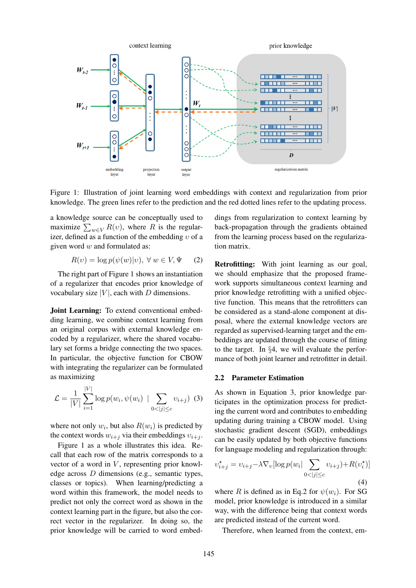

Figure 1: Illustration of joint learning word embeddings with context and regularization from prior knowledge. The green lines refer to the prediction and the red dotted lines refer to the updating process.

a knowledge source can be conceptually used to maximize  $\sum_{w \in V} R(v)$ , where R is the regularizer, defined as a function of the embedding  $v$  of a given word  $w$  and formulated as:

$$
R(v) = \log p(\psi(w)|v), \ \forall \ w \in V, \Psi \qquad (2)
$$

The right part of Figure 1 shows an instantiation of a regularizer that encodes prior knowledge of vocabulary size  $|V|$ , each with D dimensions.

Joint Learning: To extend conventional embedding learning, we combine context learning from an original corpus with external knowledge encoded by a regularizer, where the shared vocabulary set forms a bridge connecting the two spaces. In particular, the objective function for CBOW with integrating the regularizer can be formulated as maximizing

$$
\mathcal{L} = \frac{1}{|V|} \sum_{i=1}^{|V|} \log p(w_i, \psi(w_i) \mid \sum_{0 < |j| \leq c} v_{i+j}) \tag{3}
$$

where not only  $w_i$ , but also  $R(w_i)$  is predicted by the context words  $w_{i+j}$  via their embeddings  $v_{i+j}$ .

Figure 1 as a whole illustrates this idea. Recall that each row of the matrix corresponds to a vector of a word in  $V$ , representing prior knowledge across D dimensions (e.g., semantic types, classes or topics). When learning/predicting a word within this framework, the model needs to predict not only the correct word as shown in the context learning part in the figure, but also the correct vector in the regularizer. In doing so, the prior knowledge will be carried to word embeddings from regularization to context learning by back-propagation through the gradients obtained from the learning process based on the regularization matrix.

Retrofitting: With joint learning as our goal, we should emphasize that the proposed framework supports simultaneous context learning and prior knowledge retrofitting with a unified objective function. This means that the retrofitters can be considered as a stand-alone component at disposal, where the external knowledge vectors are regarded as supervised-learning target and the embeddings are updated through the course of fitting to the target. In §4, we will evaluate the performance of both joint learner and retrofitter in detail.

#### 2.2 Parameter Estimation

As shown in Equation 3, prior knowledge participates in the optimization process for predicting the current word and contributes to embedding updating during training a CBOW model. Using stochastic gradient descent (SGD), embeddings can be easily updated by both objective functions for language modeling and regularization through:

$$
v_{i+j}^* = v_{i+j} - \lambda \nabla_v [\log p(w_i | \sum_{0 < |j| \le c} v_{i+j}) + R(v_i^*)]
$$
\n<sup>(4)</sup>

where R is defined as in Eq.2 for  $\psi(w_i)$ . For SG model, prior knowledge is introduced in a similar way, with the difference being that context words are predicted instead of the current word.

Therefore, when learned from the context, em-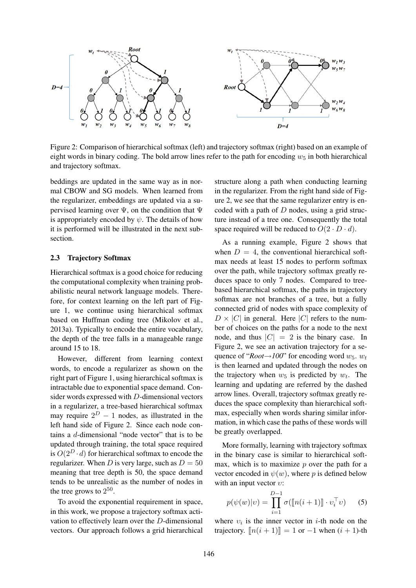

Figure 2: Comparison of hierarchical softmax (left) and trajectory softmax (right) based on an example of eight words in binary coding. The bold arrow lines refer to the path for encoding  $w_5$  in both hierarchical and trajectory softmax.

beddings are updated in the same way as in normal CBOW and SG models. When learned from the regularizer, embeddings are updated via a supervised learning over  $\Psi$ , on the condition that  $\Psi$ is appropriately encoded by  $\psi$ . The details of how it is performed will be illustrated in the next subsection.

#### 2.3 Trajectory Softmax

Hierarchical softmax is a good choice for reducing the computational complexity when training probabilistic neural network language models. Therefore, for context learning on the left part of Figure 1, we continue using hierarchical softmax based on Huffman coding tree (Mikolov et al., 2013a). Typically to encode the entire vocabulary, the depth of the tree falls in a manageable range around 15 to 18.

However, different from learning context words, to encode a regularizer as shown on the right part of Figure 1, using hierarchical softmax is intractable due to exponential space demand. Consider words expressed with D-dimensional vectors in a regularizer, a tree-based hierarchical softmax may require  $2^D - 1$  nodes, as illustrated in the left hand side of Figure 2. Since each node contains a d-dimensional "node vector" that is to be updated through training, the total space required is  $O(2^D \cdot d)$  for hierarchical softmax to encode the regularizer. When D is very large, such as  $D = 50$ meaning that tree depth is 50, the space demand tends to be unrealistic as the number of nodes in the tree grows to  $2^{50}$ .

To avoid the exponential requirement in space, in this work, we propose a trajectory softmax activation to effectively learn over the D-dimensional vectors. Our approach follows a grid hierarchical

structure along a path when conducting learning in the regularizer. From the right hand side of Figure 2, we see that the same regularizer entry is encoded with a path of  $D$  nodes, using a grid structure instead of a tree one. Consequently the total space required will be reduced to  $O(2 \cdot D \cdot d)$ .

As a running example, Figure 2 shows that when  $D = 4$ , the conventional hierarchical softmax needs at least 15 nodes to perform softmax over the path, while trajectory softmax greatly reduces space to only 7 nodes. Compared to treebased hierarchical softmax, the paths in trajectory softmax are not branches of a tree, but a fully connected grid of nodes with space complexity of  $D \times |C|$  in general. Here |C| refers to the number of choices on the paths for a node to the next node, and thus  $|C| = 2$  is the binary case. In Figure 2, we see an activation trajectory for a sequence of " $Root \rightarrow 100$ " for encoding word  $w_5$ .  $w_t$ is then learned and updated through the nodes on the trajectory when  $w_5$  is predicted by  $w_t$ . The learning and updating are referred by the dashed arrow lines. Overall, trajectory softmax greatly reduces the space complexity than hierarchical softmax, especially when words sharing similar information, in which case the paths of these words will be greatly overlapped.

More formally, learning with trajectory softmax in the binary case is similar to hierarchical softmax, which is to maximize  $p$  over the path for a vector encoded in  $\psi(w)$ , where p is defined below with an input vector  $v$ :

$$
p(\psi(w)|v) = \prod_{i=1}^{D-1} \sigma([\![n(i+1)]\!]\cdot v_i^{\top}v) \qquad (5)
$$

where  $v_i$  is the inner vector in *i*-th node on the trajectory.  $[n(i + 1)] = 1$  or  $-1$  when  $(i + 1)$ -th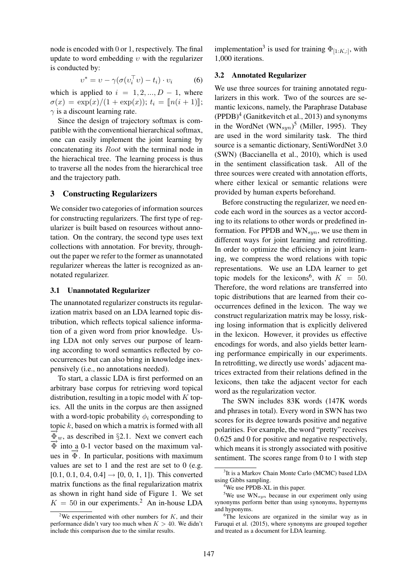node is encoded with 0 or 1, respectively. The final update to word embedding  $v$  with the regularizer is conducted by:

$$
v^* = v - \gamma(\sigma(v_i^{\top} v) - t_i) \cdot v_i \tag{6}
$$

which is applied to  $i = 1, 2, ..., D - 1$ , where  $\sigma(x) = \exp(x)/(1 + \exp(x));$   $t_i = [n(i + 1)],$  $\gamma$  is a discount learning rate.

Since the design of trajectory softmax is compatible with the conventional hierarchical softmax, one can easily implement the joint learning by concatenating its Root with the terminal node in the hierachical tree. The learning process is thus to traverse all the nodes from the hierarchical tree and the trajectory path.

# 3 Constructing Regularizers

We consider two categories of information sources for constructing regularizers. The first type of regularizer is built based on resources without annotation. On the contrary, the second type uses text collections with annotation. For brevity, throughout the paper we refer to the former as unannotated regularizer whereas the latter is recognized as annotated regularizer.

#### 3.1 Unannotated Regularizer

The unannotated regularizer constructs its regularization matrix based on an LDA learned topic distribution, which reflects topical salience information of a given word from prior knowledge. Using LDA not only serves our purpose of learning according to word semantics reflected by cooccurrences but can also bring in knowledge inexpensively (i.e., no annotations needed).

To start, a classic LDA is first performed on an arbitrary base corpus for retrieving word topical distribution, resulting in a topic model with  $K$  topics. All the units in the corpus are then assigned with a word-topic probability  $\phi_i$  corresponding to topic  $k$ , based on which a matrix is formed with all  $\overline{\Phi}_w$ , as described in §2.1. Next we convert each  $\overrightarrow{\Phi}$  into a 0-1 vector based on the maximum values in  $\overrightarrow{\Phi}$ . In particular, positions with maximum values are set to 1 and the rest are set to 0 (e.g.  $[0.1, 0.1, 0.4, 0.4] \rightarrow [0, 0, 1, 1]$ . This converted matrix functions as the final regularization matrix as shown in right hand side of Figure 1. We set  $K = 50$  in our experiments.<sup>2</sup> An in-house LDA implementation<sup>3</sup> is used for training  $\Phi_{[1:K,:]}$ , with 1,000 iterations.

### 3.2 Annotated Regularizer

We use three sources for training annotated regularizers in this work. Two of the sources are semantic lexicons, namely, the Paraphrase Database  $(PPDB)<sup>4</sup>$  (Ganitkevitch et al., 2013) and synonyms in the WordNet  $(WN_{syn})^5$  (Miller, 1995). They are used in the word similarity task. The third source is a semantic dictionary, SentiWordNet 3.0 (SWN) (Baccianella et al., 2010), which is used in the sentiment classification task. All of the three sources were created with annotation efforts, where either lexical or semantic relations were provided by human experts beforehand.

Before constructing the regularizer, we need encode each word in the sources as a vector according to its relations to other words or predefined information. For PPDB and  $WN_{syn}$ , we use them in different ways for joint learning and retrofitting. In order to optimize the efficiency in joint learning, we compress the word relations with topic representations. We use an LDA learner to get topic models for the lexicons<sup>6</sup>, with  $K = 50$ . Therefore, the word relations are transferred into topic distributions that are learned from their cooccurrences defined in the lexicon. The way we construct regularization matrix may be lossy, risking losing information that is explicitly delivered in the lexicon. However, it provides us effective encodings for words, and also yields better learning performance empirically in our experiments. In retrofitting, we directly use words' adjacent matrices extracted from their relations defined in the lexicons, then take the adjacent vector for each word as the regularization vector.

The SWN includes 83K words (147K words and phrases in total). Every word in SWN has two scores for its degree towards positive and negative polarities. For example, the word "pretty" receives 0.625 and 0 for positive and negative respectively, which means it is strongly associated with positive sentiment. The scores range from 0 to 1 with step

<sup>&</sup>lt;sup>2</sup>We experimented with other numbers for  $K$ , and their performance didn't vary too much when  $K > 40$ . We didn't include this comparison due to the similar results.

<sup>&</sup>lt;sup>3</sup>It is a Markov Chain Monte Carlo (MCMC) based LDA using Gibbs sampling.

<sup>&</sup>lt;sup>4</sup>We use PPDB-XL in this paper.

<sup>&</sup>lt;sup>5</sup>We use  $WN_{syn}$  because in our experiment only using synonyms perform better than using synonyms, hypernyms and hyponyms.

<sup>&</sup>lt;sup>6</sup>The lexicons are organized in the similar way as in Faruqui et al. (2015), where synonyms are grouped together and treated as a document for LDA learning.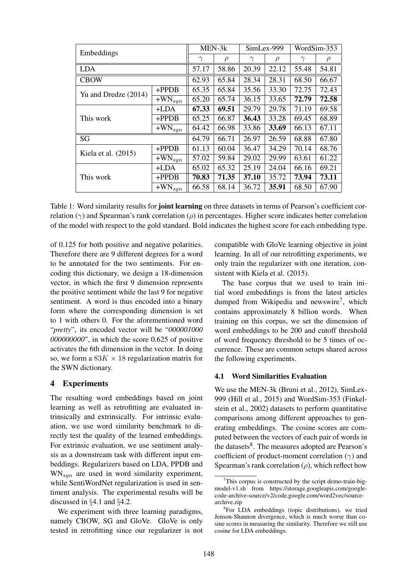| Embeddings            |             | MEN-3k   |        | SimLex-999 |        | WordSim-353 |        |
|-----------------------|-------------|----------|--------|------------|--------|-------------|--------|
|                       |             | $\gamma$ | $\rho$ | $\gamma$   | $\rho$ | $\gamma$    | $\rho$ |
| <b>LDA</b>            |             | 57.17    | 58.86  | 20.39      | 22.12  | 55.48       | 54.81  |
| <b>CBOW</b>           |             | 62.93    | 65.84  | 28.34      | 28.31  | 68.50       | 66.67  |
| Yu and Dredze (2014)  | $+$ PPDB    | 65.35    | 65.84  | 35.56      | 33.30  | 72.75       | 72.43  |
|                       | $+WN_{syn}$ | 65.20    | 65.74  | 36.15      | 33.65  | 72.79       | 72.58  |
| This work             | $+LDA$      | 67.33    | 69.51  | 29.79      | 29.78  | 71.19       | 69.58  |
|                       | $+PPDB$     | 65.25    | 66.87  | 36.43      | 33.28  | 69.45       | 68.89  |
|                       | $+WN_{syn}$ | 64.42    | 66.98  | 33.86      | 33.69  | 66.13       | 67.11  |
| SG                    |             | 64.79    | 66.71  | 26.97      | 26.59  | 68.88       | 67.80  |
| Kiela et al. $(2015)$ | $+$ PPDB    | 61.13    | 60.04  | 36.47      | 34.29  | 70.14       | 68.76  |
|                       | $+WN_{syn}$ | 57.02    | 59.84  | 29.02      | 29.99  | 63.61       | 61.22  |
| This work             | $+LDA$      | 65.02    | 65.32  | 25.19      | 24.04  | 66.16       | 69.21  |
|                       | $+$ PPDB    | 70.83    | 71.35  | 37.10      | 35.72  | 73.94       | 73.11  |
|                       | $+WN_{syn}$ | 66.58    | 68.14  | 36.72      | 35.91  | 68.50       | 67.90  |

Table 1: Word similarity results for **joint learning** on three datasets in terms of Pearson's coefficient correlation ( $\gamma$ ) and Spearman's rank correlation ( $\rho$ ) in percentages. Higher score indicates better correlation of the model with respect to the gold standard. Bold indicates the highest score for each embedding type.

of 0.125 for both positive and negative polarities. Therefore there are 9 different degrees for a word to be annotated for the two sentiments. For encoding this dictionary, we design a 18-dimension vector, in which the first 9 dimension represents the positive sentiment while the last 9 for negative sentiment. A word is thus encoded into a binary form where the corresponding dimension is set to 1 with others 0. For the aforementioned word "*pretty*", its encoded vector will be "*000001000 000000000*", in which the score 0.625 of positive activates the 6th dimension in the vector. In doing so, we form a  $83K \times 18$  regularization matrix for the SWN dictionary.

# 4 Experiments

The resulting word embeddings based on joint learning as well as retrofitting are evaluated intrinsically and extrinsically. For intrinsic evaluation, we use word similarity benchmark to directly test the quality of the learned embeddings. For extrinsic evaluation, we use sentiment analysis as a downstream task with different input embeddings. Regularizers based on LDA, PPDB and  $WN_{sum}$  are used in word similarity experiment, while SentiWordNet regularization is used in sentiment analysis. The experimental results will be discussed in §4.1 and §4.2.

We experiment with three learning paradigms, namely CBOW, SG and GloVe. GloVe is only tested in retrofitting since our regularizer is not compatible with GloVe learning objective in joint learning. In all of our retrofitting experiments, we only train the regularizer with one iteration, consistent with Kiela et al. (2015).

The base corpus that we used to train initial word embeddings is from the latest articles dumped from Wikipedia and newswire<sup>7</sup>, which contains approximately 8 billion words. When training on this corpus, we set the dimension of word embeddings to be 200 and cutoff threshold of word frequency threshold to be 5 times of occurrence. These are common setups shared across the following experiments.

#### 4.1 Word Similarities Evaluation

We use the MEN-3k (Bruni et al., 2012), SimLex-999 (Hill et al., 2015) and WordSim-353 (Finkelstein et al., 2002) datasets to perform quantitative comparisons among different approaches to generating embeddings. The cosine scores are computed between the vectors of each pair of words in the datasets<sup>8</sup>. The measures adopted are Pearson's coefficient of product-moment correlation  $(\gamma)$  and Spearman's rank correlation  $(\rho)$ , which reflect how

 $7$ This corpus is constructed by the script demo-train-bigmodel-v1.sh from https://storage.googleapis.com/googlecode-archive-source/v2/code.google.com/word2vec/sourcearchive.zip

<sup>8</sup> For LDA embeddings (topic distributions), we tried Jenson-Shannon divergence, which is much worse than cosine scores in measuring the similarity. Therefore we still use cosine for LDA embeddings.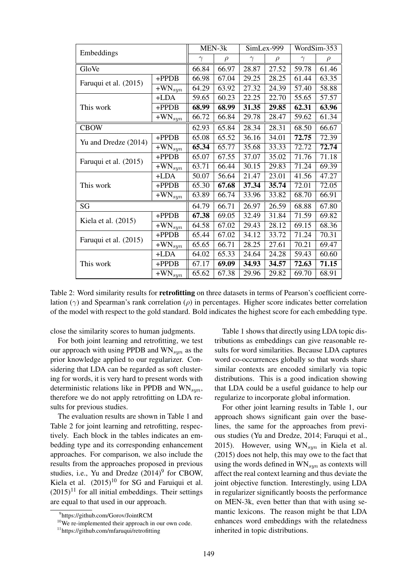| Embeddings            |                                  | MEN-3k   |        | SimLex-999 |        | WordSim-353 |        |
|-----------------------|----------------------------------|----------|--------|------------|--------|-------------|--------|
|                       |                                  | $\gamma$ | $\rho$ | $\gamma$   | $\rho$ | $\gamma$    | $\rho$ |
| GloVe                 |                                  | 66.84    | 66.97  | 28.87      | 27.52  | 59.78       | 61.46  |
| Faruqui et al. (2015) | +PPDB                            | 66.98    | 67.04  | 29.25      | 28.25  | 61.44       | 63.35  |
|                       | $\overline{+}$ WN <sub>syn</sub> | 64.29    | 63.92  | 27.32      | 24.39  | 57.40       | 58.88  |
| This work             | +LDA                             | 59.65    | 60.23  | 22.25      | 22.70  | 55.65       | 57.57  |
|                       | +PPDB                            | 68.99    | 68.99  | 31.35      | 29.85  | 62.31       | 63.96  |
|                       | $\overline{+W}$ N <sub>syn</sub> | 66.72    | 66.84  | 29.78      | 28.47  | 59.62       | 61.34  |
| <b>CBOW</b>           |                                  | 62.93    | 65.84  | 28.34      | 28.31  | 68.50       | 66.67  |
| Yu and Dredze (2014)  | +PPDB                            | 65.08    | 65.52  | 36.16      | 34.01  | 72.75       | 72.39  |
|                       | $\overline{+W}$ N <sub>syn</sub> | 65.34    | 65.77  | 35.68      | 33.33  | 72.72       | 72.74  |
| Faruqui et al. (2015) | +PPDB                            | 65.07    | 67.55  | 37.07      | 35.02  | 71.76       | 71.18  |
|                       | $\overline{+W}$ N <sub>syn</sub> | 63.71    | 66.44  | 30.15      | 29.83  | 71.24       | 69.39  |
| This work             | +LDA                             | 50.07    | 56.64  | 21.47      | 23.01  | 41.56       | 47.27  |
|                       | +PPDB                            | 65.30    | 67.68  | 37.34      | 35.74  | 72.01       | 72.05  |
|                       | $\overline{+}$ WN <sub>syn</sub> | 63.89    | 66.74  | 33.96      | 33.82  | 68.70       | 66.91  |
| SG                    |                                  | 64.79    | 66.71  | 26.97      | 26.59  | 68.88       | 67.80  |
| Kiela et al. $(2015)$ | +PPDB                            | 67.38    | 69.05  | 32.49      | 31.84  | 71.59       | 69.82  |
|                       | $\overline{+}$ WN <sub>syn</sub> | 64.58    | 67.02  | 29.43      | 28.12  | 69.15       | 68.36  |
| Faruqui et al. (2015) | $+$ PPDB                         | 65.44    | 67.02  | 34.12      | 33.72  | 71.24       | 70.31  |
|                       | $\overline{+W}N_{syn}$           | 65.65    | 66.71  | 28.25      | 27.61  | 70.21       | 69.47  |
| This work             | $+LDA$                           | 64.02    | 65.33  | 24.64      | 24.28  | 59.43       | 60.60  |
|                       | +PPDB                            | 67.17    | 69.09  | 34.93      | 34.57  | 72.63       | 71.15  |
|                       | $\overline{+}$ WN <sub>syn</sub> | 65.62    | 67.38  | 29.96      | 29.82  | 69.70       | 68.91  |

Table 2: Word similarity results for **retrofitting** on three datasets in terms of Pearson's coefficient correlation ( $\gamma$ ) and Spearman's rank correlation ( $\rho$ ) in percentages. Higher score indicates better correlation of the model with respect to the gold standard. Bold indicates the highest score for each embedding type.

close the similarity scores to human judgments.

For both joint learning and retrofitting, we test our approach with using PPDB and  $WN_{syn}$  as the prior knowledge applied to our regularizer. Considering that LDA can be regarded as soft clustering for words, it is very hard to present words with deterministic relations like in PPDB and  $WN_{sun}$ , therefore we do not apply retrofitting on LDA results for previous studies.

The evaluation results are shown in Table 1 and Table 2 for joint learning and retrofitting, respectively. Each block in the tables indicates an embedding type and its corresponding enhancement approaches. For comparison, we also include the results from the approaches proposed in previous studies, i.e., Yu and Dredze  $(2014)^9$  for CBOW, Kiela et al.  $(2015)^{10}$  for SG and Faruiqui et al.  $(2015)^{11}$  for all initial embeddings. Their settings are equal to that used in our approach.

Table 1 shows that directly using LDA topic distributions as embeddings can give reasonable results for word similarities. Because LDA captures word co-occurrences globally so that words share similar contexts are encoded similarly via topic distributions. This is a good indication showing that LDA could be a useful guidance to help our regularize to incorporate global information.

For other joint learning results in Table 1, our approach shows significant gain over the baselines, the same for the approaches from previous studies (Yu and Dredze, 2014; Faruqui et al., 2015). However, using  $WN_{syn}$  in Kiela et al. (2015) does not help, this may owe to the fact that using the words defined in  $WN_{sun}$  as contexts will affect the real context learning and thus deviate the joint objective function. Interestingly, using LDA in regularizer significantly boosts the performance on MEN-3k, even better than that with using semantic lexicons. The reason might be that LDA enhances word embeddings with the relatedness inherited in topic distributions.

<sup>9</sup> https://github.com/Gorov/JointRCM

<sup>&</sup>lt;sup>10</sup>We re-implemented their approach in our own code.

<sup>11</sup>https://github.com/mfaruqui/retrofitting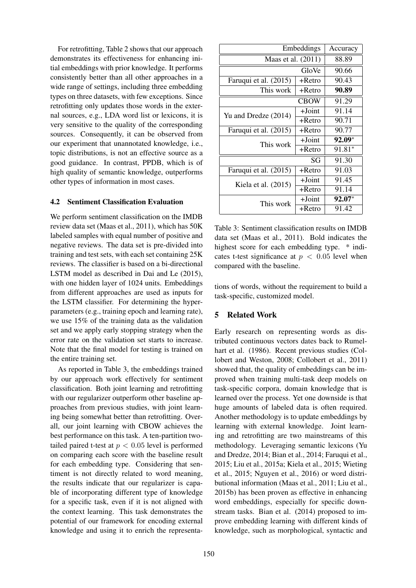For retrofitting, Table 2 shows that our approach demonstrates its effectiveness for enhancing initial embeddings with prior knowledge. It performs consistently better than all other approaches in a wide range of settings, including three embedding types on three datasets, with few exceptions. Since retrofitting only updates those words in the external sources, e.g., LDA word list or lexicons, it is very sensitive to the quality of the corresponding sources. Consequently, it can be observed from our experiment that unannotated knowledge, i.e., topic distributions, is not an effective source as a good guidance. In contrast, PPDB, which is of high quality of semantic knowledge, outperforms other types of information in most cases.

### 4.2 Sentiment Classification Evaluation

We perform sentiment classification on the IMDB review data set (Maas et al., 2011), which has 50K labeled samples with equal number of positive and negative reviews. The data set is pre-divided into training and test sets, with each set containing 25K reviews. The classifier is based on a bi-directional LSTM model as described in Dai and Le (2015), with one hidden layer of 1024 units. Embeddings from different approaches are used as inputs for the LSTM classifier. For determining the hyperparameters (e.g., training epoch and learning rate), we use 15% of the training data as the validation set and we apply early stopping strategy when the error rate on the validation set starts to increase. Note that the final model for testing is trained on the entire training set.

As reported in Table 3, the embeddings trained by our approach work effectively for sentiment classification. Both joint learning and retrofitting with our regularizer outperform other baseline approaches from previous studies, with joint learning being somewhat better than retrofitting. Overall, our joint learning with CBOW achieves the best performance on this task. A ten-partition twotailed paired t-test at  $p < 0.05$  level is performed on comparing each score with the baseline result for each embedding type. Considering that sentiment is not directly related to word meaning, the results indicate that our regularizer is capable of incorporating different type of knowledge for a specific task, even if it is not aligned with the context learning. This task demonstrates the potential of our framework for encoding external knowledge and using it to enrich the representa-

| Embeddings            | Accuracy  |          |
|-----------------------|-----------|----------|
| Maas et al. (2011)    | 88.89     |          |
|                       | 90.66     |          |
| Faruqui et al. (2015) | 90.43     |          |
| This work             | +Retro    | 90.89    |
|                       | 91.29     |          |
| Yu and Dredze (2014)  | $+$ Joint | 91.14    |
|                       | $+$ Retro | 90.71    |
| Faruqui et al. (2015) | +Retro    | 90.77    |
| This work             | $+$ Joint | $92.09*$ |
|                       | +Retro    | $91.81*$ |
|                       | 91.30     |          |
| Faruqui et al. (2015) | $+$ Retro | 91.03    |
| Kiela et al. (2015)   | $+$ Joint | 91.45    |
|                       | +Retro    | 91.14    |
| This work             | $+$ Joint | 92.07*   |
|                       | +Retro    | 91.42    |

Table 3: Sentiment classification results on IMDB data set (Maas et al., 2011). Bold indicates the highest score for each embedding type. \* indicates t-test significance at  $p < 0.05$  level when compared with the baseline.

tions of words, without the requirement to build a task-specific, customized model.

# 5 Related Work

Early research on representing words as distributed continuous vectors dates back to Rumelhart et al. (1986). Recent previous studies (Collobert and Weston, 2008; Collobert et al., 2011) showed that, the quality of embeddings can be improved when training multi-task deep models on task-specific corpora, domain knowledge that is learned over the process. Yet one downside is that huge amounts of labeled data is often required. Another methodology is to update embeddings by learning with external knowledge. Joint learning and retrofitting are two mainstreams of this methodology. Leveraging semantic lexicons (Yu and Dredze, 2014; Bian et al., 2014; Faruqui et al., 2015; Liu et al., 2015a; Kiela et al., 2015; Wieting et al., 2015; Nguyen et al., 2016) or word distributional information (Maas et al., 2011; Liu et al., 2015b) has been proven as effective in enhancing word embeddings, especially for specific downstream tasks. Bian et al. (2014) proposed to improve embedding learning with different kinds of knowledge, such as morphological, syntactic and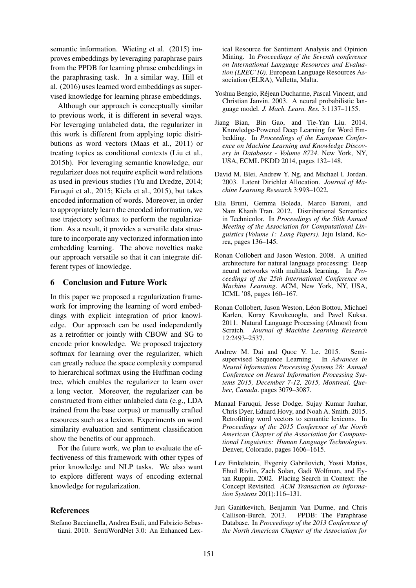semantic information. Wieting et al. (2015) improves embeddings by leveraging paraphrase pairs from the PPDB for learning phrase embeddings in the paraphrasing task. In a similar way, Hill et al. (2016) uses learned word embeddings as supervised knowledge for learning phrase embeddings.

Although our approach is conceptually similar to previous work, it is different in several ways. For leveraging unlabeled data, the regularizer in this work is different from applying topic distributions as word vectors (Maas et al., 2011) or treating topics as conditional contexts (Liu et al., 2015b). For leveraging semantic knowledge, our regularizer does not require explicit word relations as used in previous studies (Yu and Dredze, 2014; Faruqui et al., 2015; Kiela et al., 2015), but takes encoded information of words. Moreover, in order to appropriately learn the encoded information, we use trajectory softmax to perform the regularization. As a result, it provides a versatile data structure to incorporate any vectorized information into embedding learning. The above novelties make our approach versatile so that it can integrate different types of knowledge.

# 6 Conclusion and Future Work

In this paper we proposed a regularization framework for improving the learning of word embeddings with explicit integration of prior knowledge. Our approach can be used independently as a retrofitter or jointly with CBOW and SG to encode prior knowledge. We proposed trajectory softmax for learning over the regularizer, which can greatly reduce the space complexity compared to hierarchical softmax using the Huffman coding tree, which enables the regularizer to learn over a long vector. Moreover, the regularizer can be constructed from either unlabeled data (e.g., LDA trained from the base corpus) or manually crafted resources such as a lexicon. Experiments on word similarity evaluation and sentiment classification show the benefits of our approach.

For the future work, we plan to evaluate the effectiveness of this framework with other types of prior knowledge and NLP tasks. We also want to explore different ways of encoding external knowledge for regularization.

### References

Stefano Baccianella, Andrea Esuli, and Fabrizio Sebastiani. 2010. SentiWordNet 3.0: An Enhanced Lexical Resource for Sentiment Analysis and Opinion Mining. In *Proceedings of the Seventh conference on International Language Resources and Evaluation (LREC'10)*. European Language Resources Association (ELRA), Valletta, Malta.

- Yoshua Bengio, Rejean Ducharme, Pascal Vincent, and ´ Christian Janvin. 2003. A neural probabilistic language model. *J. Mach. Learn. Res.* 3:1137–1155.
- Jiang Bian, Bin Gao, and Tie-Yan Liu. 2014. Knowledge-Powered Deep Learning for Word Embedding. In *Proceedings of the European Conference on Machine Learning and Knowledge Discovery in Databases - Volume 8724*. New York, NY, USA, ECML PKDD 2014, pages 132–148.
- David M. Blei, Andrew Y. Ng, and Michael I. Jordan. 2003. Latent Dirichlet Allocation. *Journal of Machine Learning Research* 3:993–1022.
- Elia Bruni, Gemma Boleda, Marco Baroni, and Nam Khanh Tran. 2012. Distributional Semantics in Technicolor. In *Proceedings of the 50th Annual Meeting of the Association for Computational Linguistics (Volume 1: Long Papers)*. Jeju Island, Korea, pages 136–145.
- Ronan Collobert and Jason Weston. 2008. A unified architecture for natural language processing: Deep neural networks with multitask learning. In *Proceedings of the 25th International Conference on Machine Learning*. ACM, New York, NY, USA, ICML '08, pages 160–167.
- Ronan Collobert, Jason Weston, Léon Bottou, Michael Karlen, Koray Kavukcuoglu, and Pavel Kuksa. 2011. Natural Language Processing (Almost) from Scratch. *Journal of Machine Learning Research* 12:2493–2537.
- Andrew M. Dai and Quoc V. Le. 2015. Semisupervised Sequence Learning. In *Advances in Neural Information Processing Systems 28: Annual Conference on Neural Information Processing Systems 2015, December 7-12, 2015, Montreal, Quebec, Canada*. pages 3079–3087.
- Manaal Faruqui, Jesse Dodge, Sujay Kumar Jauhar, Chris Dyer, Eduard Hovy, and Noah A. Smith. 2015. Retrofitting word vectors to semantic lexicons. In *Proceedings of the 2015 Conference of the North American Chapter of the Association for Computational Linguistics: Human Language Technologies*. Denver, Colorado, pages 1606–1615.
- Lev Finkelstein, Evgeniy Gabrilovich, Yossi Matias, Ehud Rivlin, Zach Solan, Gadi Wolfman, and Eytan Ruppin. 2002. Placing Search in Context: the Concept Revisited. *ACM Transaction on Information Systems* 20(1):116–131.
- Juri Ganitkevitch, Benjamin Van Durme, and Chris PPDB: The Paraphrase Database. In *Proceedings of the 2013 Conference of the North American Chapter of the Association for*